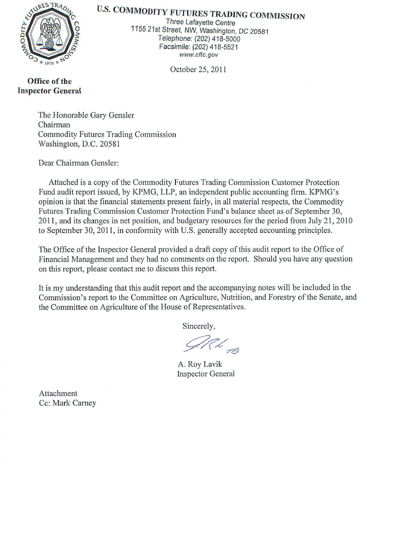

# U.S. **COMMODITY FUTURES TRADING COMMISSION**

Three Lafayette Centre 1155 21st Street, NW, Washington, DC 20581 Telephone: (202) 418-5000 Facsimile: (202) 418-5521 www.cftc.gov

October 25, 2011

**Office of the Inspector Genera{** 

> The Honorable Gary Gensler Chairman Commodity Futures Trading Commission Washington, D.C. 20581

Dear Chairman Gensler:

Attached is a copy of the Commodity Futures Trading Commission Customer Protection Fund audit report issued, by KPMG, LLP, an independent public accounting firm. KPMG's opinion is that the financial statements present fairly, in all material respects, the Commodity Futures Trading Commission Customer Protection Fund's balance sheet as of September 30, 2011, and its changes in net position, and budgetary resources for the period from July 21, 2010 to September 30, 2011, in conformity with U.S. generally accepted accounting principles.

The Office of the Inspector General provided a draft copy of this audit report to the Office of Financial Management and they had no comments on the report. Should you have any question on this report, please contact me to discuss this report.

It is my understanding that this audit report and the accompanying notes will be included in the Commission's report to the Committee on Agriculture, Nutrition, and Forestry of the Senate, and the Committee on Agriculture of the House of Representatives.

Sincerely,

UCL 13

A. Roy Lavik Inspector General

Attachment Cc: Mark Carney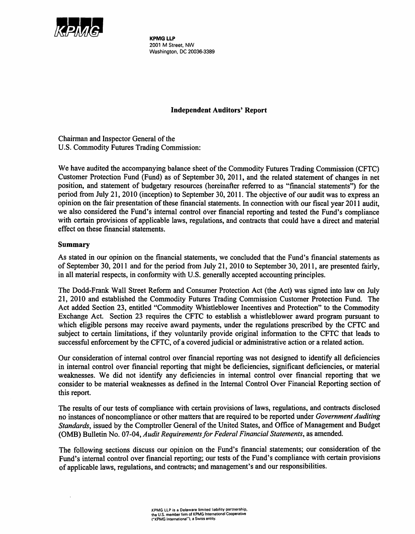

KPMG LLP 2001 M Street, NW Washington, DC 20036-3389

## Independent Auditors' Report

Chairman and Inspector General of the U.S. Commodity Futures Trading Commission:

We have audited the accompanying balance sheet of the Commodity Futures Trading Commission (CFTC) Customer Protection Fund (Fund) as of September 30, 2011, and the related statement of changes in net position, and statement of budgetary resources (hereinafter referred to as "financial statements") for the period from July 21, 2010 (inception) to September 30, 2011. The objective of our audit was to express an opinion on the fair presentation of these financial statements. In connection with our fiscal year 20 11 audit, we also considered the Fund's internal control over financial reporting and tested the Fund's compliance with certain provisions of applicable laws, regulations, and contracts that could have a direct and material effect on these financial statements.

### Summary

As stated in our opinion on the financial statements, we concluded that the Fund's financial statements as of September 30, 2011 and for the period from July 21, 2010 to September 30, 2011, are presented fairly, in all material respects, in conformity with U.S. generally accepted accounting principles.

The Dodd-Frank Wall Street Reform and Consumer Protection Act (the Act) was signed into law on July 21, 2010 and established the Commodity Futures Trading Commission Customer Protection Fund. The Act added Section 23, entitled "Commodity Whistleblower Incentives and Protection" to the Commodity Exchange Act. Section 23 requires the CFTC to establish a whistleblower award program pursuant to which eligible persons may receive award payments, under the regulations prescribed by the CFTC and subject to certain limitations, if they voluntarily provide original information to the CFTC that leads to successful enforcement by the CFTC, of a covered judicial or administrative action or a related action.

Our consideration of internal control over financial reporting was not designed to identify all deficiencies in internal control over financial reporting that might be deficiencies, significant deficiencies, or material weaknesses. We did not identify any deficiencies in internal control over financial reporting that we consider to be material weaknesses as defined in the Internal Control Over Financial Reporting section of this report.

The results of our tests of compliance with certain provisions of laws, regulations, and contracts disclosed no instances of noncompliance or other matters that are required to be reported under *Government Auditing Standards,* issued by the Comptroller General of the United States, and Office of Management and Budget (OMB) Bulletin No. 07-04, *Audit Requirements for Federal Financial Statements,* as amended.

The following sections discuss our opinion on the Fund's financial statements; our consideration of the Fund's internal control over financial reporting; our tests of the Fund's compliance with certain provisions of applicable laws, regulations, and contracts; and management's and our responsibilities.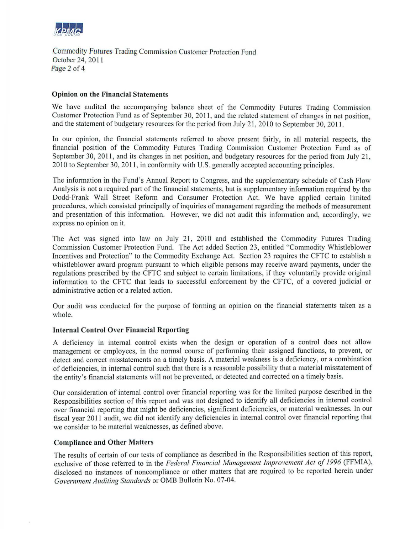

Commodity Futures Trading Commission Customer Protection Fund October 24, 2011 Page 2 of 4

### Opinion on the Financial Statements

We have audited the accompanying balance sheet of the Commodity Futures Trading Commission Customer Protection Fund as of September 30, 2011, and the related statement of changes in net position. and the statement of budgetary resources for the period from July 21, 2010 to September 30, 2011.

In our opinion, the financial statements referred to above present fairly, in all material respects, the financial position of the Commodity Futures Trading Commission Customer Protection Fund as of September 30, 2011, and its changes in net position, and budgetary resources for the period from July 21, 2010 to September 30, 2011, in conformity with U.S. generally accepted accounting principles.

The information in the Fund's Annual Report to Congress, and the supplementary schedule of Cash Flow Analysis is not a required part of the financial statements, but is supplementary information required by the Dodd-Frank Wall Street Reform and Consumer Protection Act. We have applied certain limited procedures, which consisted principally of inquiries of management regarding the methods of measurement and presentation of this information. However, we did not audit this information and, accordingly, we express no opinion on it.

The Act was signed into law on July 21, 2010 and established the Commodity Futures Trading Commission Customer Protection Fund. The Act added Section 23, entitled "Commodity Whistleblower Incentives and Protection" to the Commodity Exchange Act. Section 23 requires the CFTC to establish a whistleblower award program pursuant to which eligible persons may receive award payments, under the regulations prescribed by the CFTC and subject to certain limitations, if they voluntarily provide original information to the CFTC that leads to successful enforcement by the CFTC, of a covered judicial or administrative action or a related action.

Our audit was conducted for the purpose of forming an opinion on the financial statements taken as a whole.

### Internal Control Over Financial Reporting

A deficiency in internal control exists when the design or operation of a control does not allow management or employees, in the normal course of performing their assigned functions, to prevent, or detect and correct misstatements on a timely basis. A material weakness is a deficiency, or a combination of deficiencies, in internal control such that there is a reasonable possibility that a material misstatement of the entity's financial statements will not be prevented, or detected and corrected on a timely basis.

Our consideration of internal control over financial reporting was for the limited purpose described in the Responsibilities section of this report and was not designed to identify all deficiencies in internal control over financial reporting that might be deficiencies, significant deficiencies, or material weaknesses. In our fiscal year 2011 audit, we did not identify any deficiencies in internal control over financial reporting that we consider to be material weaknesses, as defined above.

#### Compliance and Other Matters

The results of certain of our tests of compliance as described in the Responsibilities section of this report, exclusive of those referred to in the *Federal Financial Management Improvement Act of 1996* (FFMIA), disclosed no instances of noncompliance or other matters that are required to be reported herein under *Government Auditing Standards* or OMB Bulletin No. 07-04.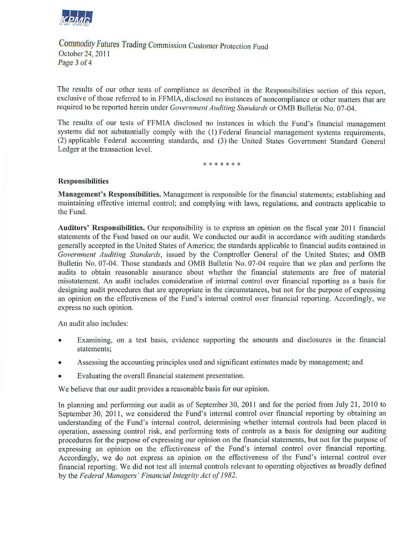

Commodity *Futures* Trading Commission Customer Protection Fund October 24, 201 1 Page 3 of 4

The results of our other tests of compliance as described in the Responsibilities section of this report, exclusive of those referred to in FFMIA, disclosed no instances of noncompliance or other matters that are required to be reported herein under *Government Auditing Standards* or OMB Bulletin No. 07-04.

The results of our tests of FFMIA disclosed no instances in which the Fund's financial management systems did not substantially comply with the (1) Federal financial management systems requirements, (2) applicable Federal accounting standards, and (3) the United States Government Standard General Ledger at the transaction level.

\*\*\*\*\*\*\*

### **Responsibilities**

**Management's Responsibilities.** Management is responsible for the financial statements; establishing and maintaining effective internal control; and complying with laws, regulations, and contracts applicable to the Fund.

Auditors' Responsibilities. Our responsibility is to express an opinion on the fiscal year 2011 financial statements of the Fund based on our audit. We conducted our audit in accordance with auditing standards generally accepted in the United States of America; the standards applicable to financial audits contained in *Government Auditing Standards,* issued by the Comptroller General of the United States; and OMB Bulletin No. 07-04. Those standards and OMB Bulletin No. 07-04 require that we plan and perform the audits to obtain reasonable assurance about whether the financial statements are free of material misstatement. An audit includes consideration of internal control over financial reporting as a basis for designing audit procedures that are appropriate in the circumstances, but not for the purpose of expressing an opinion on the effectiveness of the Fund's internal control over financial reporting. Accordingly, we express no such opinion.

An audit also includes:

- Examining, on a test basis, evidence supporting the amounts and disclosures in the financial statements;
- Assessing the accounting principles used and significant estimates made by management; and
- Evaluating the overall financial statement presentation.

We believe that our audit provides a reasonable basis for our opinion.

In planning and performing our audit as of September 30, 2011 and for the period from July 21, 2010 to September 30, 2011, we considered the Fund's internal control over financial reporting by obtaining an understanding of the Fund's internal control, determining whether internal controls had been placed in operation, assessing control risk, and performing tests of controls as a basis for designing our auditing procedures for the purpose of expressing our opinion on the financial statements, but not for the purpose of expressing an opinion on the effectiveness of the Fund's internal control over financial reporting. Accordingly, we do not express an opinion on the effectiveness of the Fund's internal control over financial reporting. We did not test all internal controls relevant to operating objectives as broadly defined by the *Federal Managers' Financial Integrity Act of 1982.*